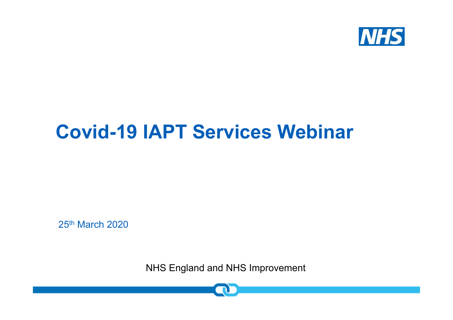

### **Covid-19 IAPT Services Webinar**

25th March 2020

NHS England and NHS Improvement

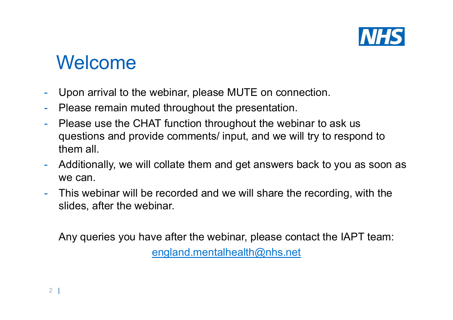

### Welcome

- -Upon arrival to the webinar, please MUTE on connection.
- -Please remain muted throughout the presentation.
- - Please use the CHAT function throughout the webinar to ask us questions and provide comments/ input, and we will try to respond to them all.
- - Additionally, we will collate them and get answers back to you as soon as we can.
- - This webinar will be recorded and we will share the recording, with the slides, after the webinar.

Any queries you have after the webinar, please contact the IAPT team: england.mentalhealth@nhs.net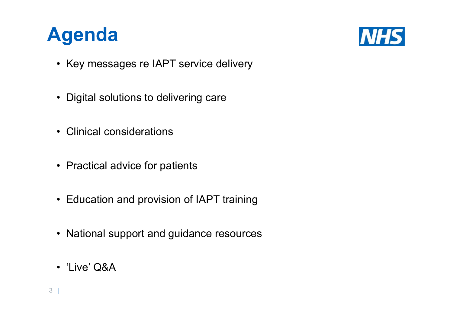



- Key messages re IAPT service delivery
- Digital solutions to delivering care
- Clinical considerations
- Practical advice for patients
- Education and provision of IAPT training
- National support and guidance resources
- 'Live' Q&A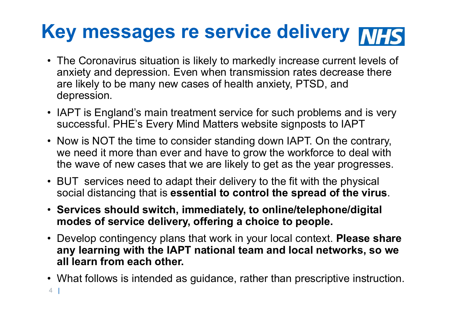# **Key messages re service delivery**

- The Coronavirus situation is likely to markedly increase current levels of anxiety and depression. Even when transmission rates decrease there are likely to be many new cases of health anxiety, PTSD, and depression.
- IAPT is England's main treatment service for such problems and is very successful. PHE's Every Mind Matters website signposts to IAPT
- Now is NOT the time to consider standing down IAPT. On the contrary, we need it more than ever and have to grow the workforce to deal with the wave of new cases that we are likely to get as the year progresses.
- BUT services need to adapt their delivery to the fit with the physical social distancing that is **essential to control the spread of the virus**.
- **Services should switch, immediately, to online/telephone/digital modes of service delivery, offering a choice to people.**
- Develop contingency plans that work in your local context. **Please share any learning with the IAPT national team and local networks, so we all learn from each other.**
- 4 | • What follows is intended as guidance, rather than prescriptive instruction.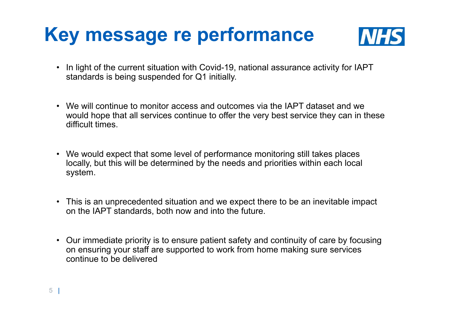## **Key message re performance**



- In light of the current situation with Covid-19, national assurance activity for IAPT standards is being suspended for Q1 initially.
- We will continue to monitor access and outcomes via the IAPT dataset and we would hope that all services continue to offer the very best service they can in these difficult times.
- We would expect that some level of performance monitoring still takes places locally, but this will be determined by the needs and priorities within each local system.
- This is an unprecedented situation and we expect there to be an inevitable impact on the IAPT standards, both now and into the future.
- Our immediate priority is to ensure patient safety and continuity of care by focusing on ensuring your staff are supported to work from home making sure services continue to be delivered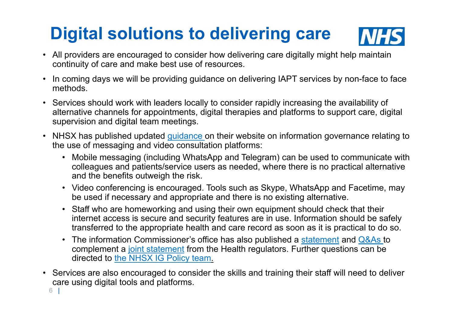## **Digital solutions to delivering care**



- All providers are encouraged to consider how delivering care digitally might help maintain continuity of care and make best use of resources.
- In coming days we will be providing guidance on delivering IAPT services by non-face to face methods.
- Services should work with leaders locally to consider rapidly increasing the availability of alternative channels for appointments, digital therapies and platforms to support care, digital supervision and digital team meetings.
- NHSX has published updated <u>quidance </u>on their website on information governance relating to the use of messaging and video consultation platforms:
	- Mobile messaging (including WhatsApp and Telegram) can be used to communicate with colleagues and patients/service users as needed, where there is no practical alternative and the benefits outweigh the risk.
	- Video conferencing is encouraged. Tools such as Skype, WhatsApp and Facetime, may be used if necessary and appropriate and there is no existing alternative.
	- Staff who are homeworking and using their own equipment should check that their internet access is secure and security features are in use. Information should be safely transferred to the appropriate health and care record as soon as it is practical to do so.
	- The information Commissioner's office has also published a  $\frac{\text{statement}}{\text{a} \text{a}}$  and  $\frac{\text{Q} \& \text{As}}{\text{a}}$  to complement a joint statement from the Health regulators. Further questions can be directed to the NHSX IG Policy team.
- Services are also encouraged to consider the skills and training their staff will need to deliver care using digital tools and platforms.

6 |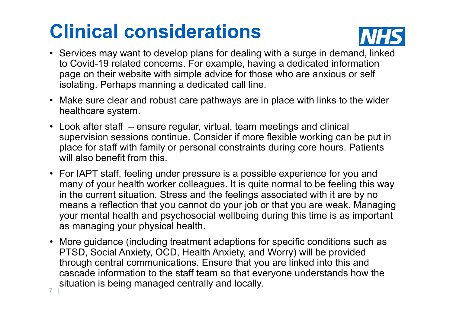# **Clinical considerations**



- Services may want to develop plans for dealing with a surge in demand, linked to Covid-19 related concerns. For example, having a dedicated information page on their website with simple advice for those who are anxious or self isolating. Perhaps manning a dedicated call line.
- Make sure clear and robust care pathways are in place with links to the wider healthcare system.
- Look after staff ensure regular, virtual, team meetings and clinical supervision sessions continue. Consider if more flexible working can be put in place for staff with family or personal constraints during core hours. Patients will also benefit from this.
- For IAPT staff, feeling under pressure is a possible experience for you and many of your health worker colleagues. It is quite normal to be feeling this way in the current situation. Stress and the feelings associated with it are by no means a reflection that you cannot do your job or that you are weak. Managing your mental health and psychosocial wellbeing during this time is as important as managing your physical health.
- 7 | • More guidance (including treatment adaptions for specific conditions such as PTSD, Social Anxiety, OCD, Health Anxiety, and Worry) will be provided through central communications. Ensure that you are linked into this and cascade information to the staff team so that everyone understands how the situation is being managed centrally and locally.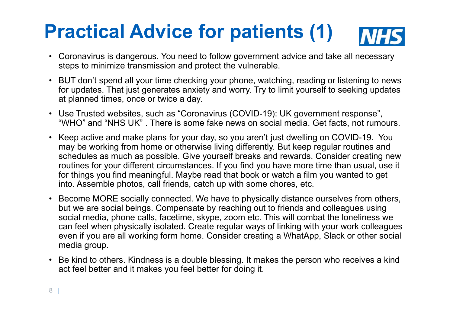### **Practical Advice for patients (1)NHS**

- • Coronavirus is dangerous. You need to follow government advice and take all necessary steps to minimize transmission and protect the vulnerable.
- BUT don't spend all your time checking your phone, watching, reading or listening to news for updates. That just generates anxiety and worry. Try to limit yourself to seeking updates at planned times, once or twice a day.
- Use Trusted websites, such as "Coronavirus (COVID-19): UK government response", "WHO" and "NHS UK" . There is some fake news on social media. Get facts, not rumours.
- • Keep active and make plans for your day, so you aren't just dwelling on COVID-19. You may be working from home or otherwise living differently. But keep regular routines and schedules as much as possible. Give yourself breaks and rewards. Consider creating new routines for your different circumstances. If you find you have more time than usual, use it for things you find meaningful. Maybe read that book or watch a film you wanted to get into. Assemble photos, call friends, catch up with some chores, etc.
- Become MORE socially connected. We have to physically distance ourselves from others, but we are social beings. Compensate by reaching out to friends and colleagues using social media, phone calls, facetime, skype, zoom etc. This will combat the loneliness we can feel when physically isolated. Create regular ways of linking with your work colleagues even if you are all working form home. Consider creating a WhatApp, Slack or other social media group.
- Be kind to others. Kindness is a double blessing. It makes the person who receives a kind act feel better and it makes you feel better for doing it.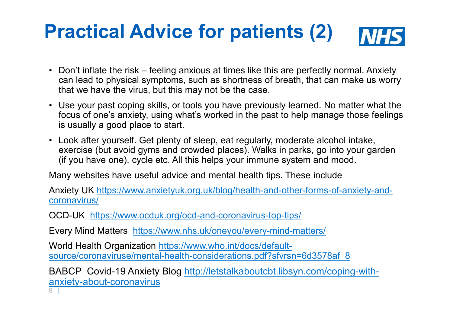#### **Practical Advice for patients (2)INHS**

- Don't inflate the risk feeling anxious at times like this are perfectly normal. Anxiety can lead to physical symptoms, such as shortness of breath, that can make us worry that we have the virus, but this may not be the case.
- Use your past coping skills, or tools you have previously learned. No matter what the focus of one's anxiety, using what's worked in the past to help manage those feelings is usually a good place to start.
- Look after yourself. Get plenty of sleep, eat regularly, moderate alcohol intake, exercise (but avoid gyms and crowded places). Walks in parks, go into your garden (if you have one), cycle etc. All this helps your immune system and mood.

Many websites have useful advice and mental health tips. These include

Anxiety UK https://www.anxietyuk.org.uk/blog/health-and-other-forms-of-anxiety-andcoronavirus/

OCD-UK https://www.ocduk.org/ocd-and-coronavirus-top-tips/

Every Mind Matters https://www.nhs.uk/oneyou/every-mind-matters/

World Health Organization https://www.who.int/docs/defaultsource/coronaviruse/mental-health-considerations.pdf?sfvrsn=6d3578af\_8

BABCP Covid-19 Anxiety Blog http://letstalkaboutcbt.libsyn.com/coping-withanxiety-about-coronavirus

9 |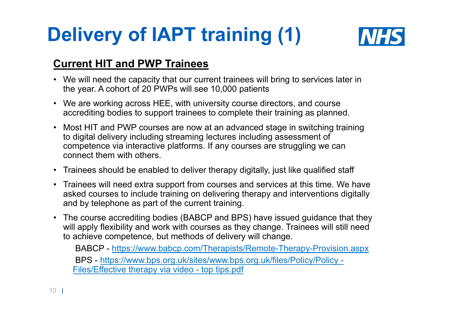# **Delivery of IAPT training (1)**



#### **Current HIT and PWP Trainees**

- We will need the capacity that our current trainees will bring to services later in the year. A cohort of 20 PWPs will see 10,000 patients
- We are working across HEE, with university course directors, and course accrediting bodies to support trainees to complete their training as planned.
- Most HIT and PWP courses are now at an advanced stage in switching training to digital delivery including streaming lectures including assessment of competence via interactive platforms. If any courses are struggling we can connect them with others.
- Trainees should be enabled to deliver therapy digitally, just like qualified staff
- Trainees will need extra support from courses and services at this time. We have asked courses to include training on delivering therapy and interventions digitally and by telephone as part of the current training.
- The course accrediting bodies (BABCP and BPS) have issued guidance that they will apply flexibility and work with courses as they change. Trainees will still need to achieve competence, but methods of delivery will change.

BABCP - https://www.babcp.com/Therapists/Remote-Therapy-Provision.aspx BPS - https://www.bps.org.uk/sites/www.bps.org.uk/files/Policy/Policy - Files/Effective therapy via video - top tips.pdf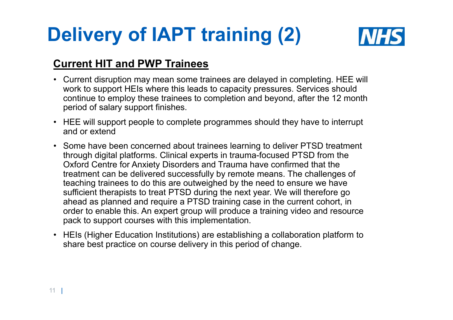# **Delivery of IAPT training (2)**



#### **Current HIT and PWP Trainees**

- Current disruption may mean some trainees are delayed in completing. HEE will work to support HEIs where this leads to capacity pressures. Services should continue to employ these trainees to completion and beyond, after the 12 month period of salary support finishes.
- HEE will support people to complete programmes should they have to interrupt and or extend
- Some have been concerned about trainees learning to deliver PTSD treatment through digital platforms. Clinical experts in trauma-focused PTSD from the Oxford Centre for Anxiety Disorders and Trauma have confirmed that the treatment can be delivered successfully by remote means. The challenges of teaching trainees to do this are outweighed by the need to ensure we have sufficient therapists to treat PTSD during the next year. We will therefore go ahead as planned and require a PTSD training case in the current cohort, in order to enable this. An expert group will produce a training video and resource pack to support courses with this implementation.
- HEIs (Higher Education Institutions) are establishing a collaboration platform to share best practice on course delivery in this period of change.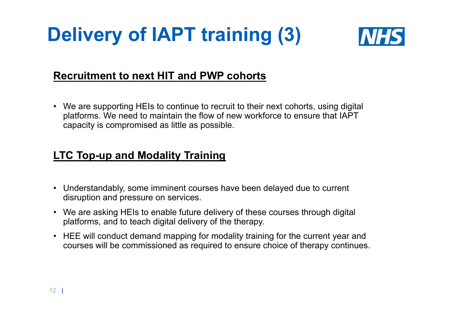## **Delivery of IAPT training (3)**



#### **Recruitment to next HIT and PWP cohorts**

• We are supporting HEIs to continue to recruit to their next cohorts, using digital platforms. We need to maintain the flow of new workforce to ensure that IAPT capacity is compromised as little as possible.

### **LTC Top-up and Modality Training**

- Understandably, some imminent courses have been delayed due to current disruption and pressure on services.
- We are asking HEIs to enable future delivery of these courses through digital platforms, and to teach digital delivery of the therapy.
- HEE will conduct demand mapping for modality training for the current year and courses will be commissioned as required to ensure choice of therapy continues.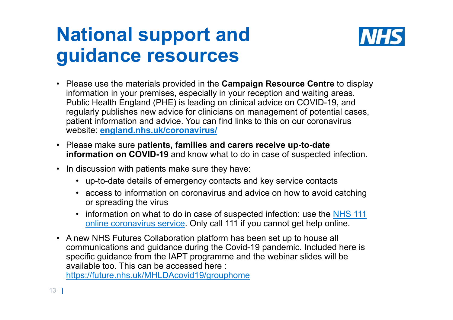## **National support and guidance resources**



- Please use the materials provided in the **Campaign Resource Centre** to display information in your premises, especially in your reception and waiting areas. Public Health England (PHE) is leading on clinical advice on COVID-19, and regularly publishes new advice for clinicians on management of potential cases, patient information and advice. You can find links to this on our coronavirus website: **england.nhs.uk/coronavirus/**
- Please make sure **patients, families and carers receive up-to-date information on COVID-19** and know what to do in case of suspected infection.
- In discussion with patients make sure they have:
	- up-to-date details of emergency contacts and key service contacts
	- access to information on coronavirus and advice on how to avoid catching or spreading the virus
	- information on what to do in case of suspected infection: use the NHS 111 online coronavirus service. Only call 111 if you cannot get help online.
- A new NHS Futures Collaboration platform has been set up to house all communications and guidance during the Covid-19 pandemic. Included here is specific guidance from the IAPT programme and the webinar slides will be available too. This can be accessed here :

https://future.nhs.uk/MHLDAcovid19/grouphome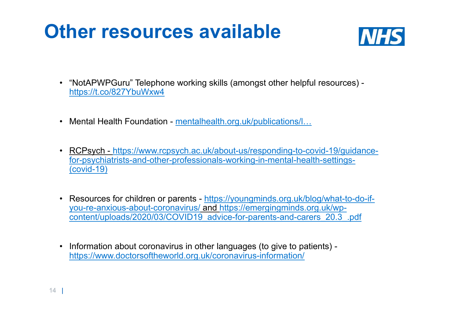## **Other resources available**



- "NotAPWPGuru" Telephone working skills (amongst other helpful resources) https://t.co/827YbuWxw4
- Mental Health Foundation <u>mentalhealth.org.uk/publications/l…</u>
- RCPsych https://www.rcpsych.ac.uk/about-us/responding-to-covid-19/guidancefor-psychiatrists-and-other-professionals-working-in-mental-health-settings- (covid-19)
- Resources for children or parents https://youngminds.org.uk/blog/what-to-do-ifyou-re-anxious-about-coronavirus/ and https://emergingminds.org.uk/wpcontent/uploads/2020/03/COVID19\_advice-for-parents-and-carers\_20.3\_.pdf
- Information about coronavirus in other languages (to give to patients) https://www.doctorsoftheworld.org.uk/coronavirus-information/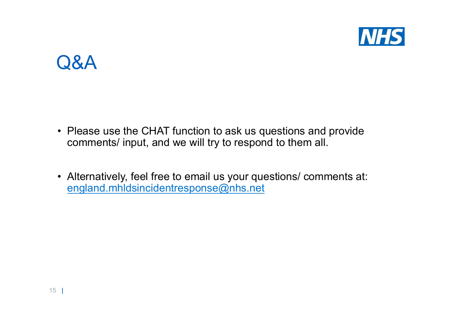

### Q&A

- Please use the CHAT function to ask us questions and provide comments/ input, and we will try to respond to them all.
- Alternatively, feel free to email us your questions/ comments at: england.mhldsincidentresponse@nhs.net